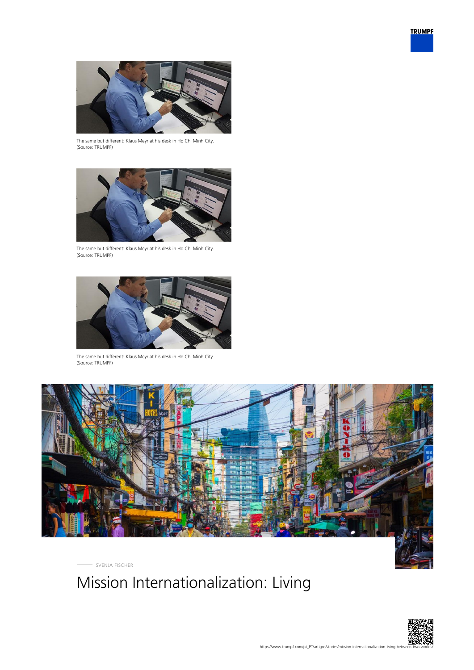



The same but different: Klaus Meyr at his desk in Ho Chi Minh City. (Source: TRUMPF)



The same but different: Klaus Meyr at his desk in Ho Chi Minh City. (Source: TRUMPF)



The same but different: Klaus Meyr at his desk in Ho Chi Minh City. (Source: TRUMPF)



SVENJA FISCHER

# Mission Internationalization: Living

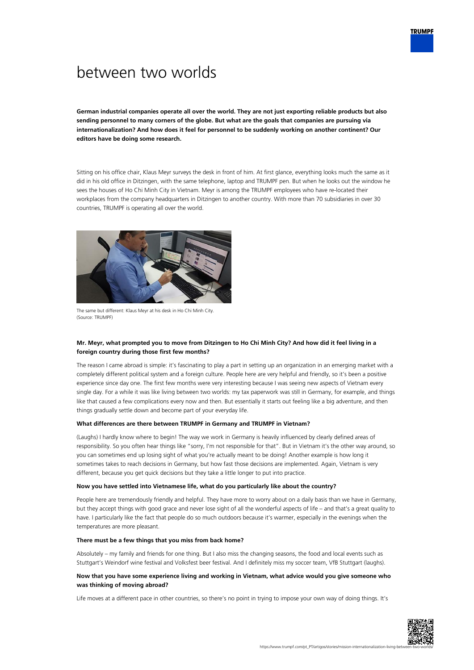# between two worlds

**German industrial companies operate all over the world. They are not just exporting reliable products but also sending personnel to many corners of the globe. But what are the goals that companies are pursuing via internationalization? And how does it feel for personnel to be suddenly working on another continent? Our editors have be doing some research.**

Sitting on his office chair, Klaus Meyr surveys the desk in front of him. At first glance, everything looks much the same as it did in his old office in Ditzingen, with the same telephone, laptop and TRUMPF pen. But when he looks out the window he sees the houses of Ho Chi Minh City in Vietnam. Meyr is among the TRUMPF employees who have re-located their workplaces from the company headquarters in Ditzingen to another country. With more than 70 subsidiaries in over 30 countries, TRUMPF is operating all over the world.



The same but different: Klaus Meyr at his desk in Ho Chi Minh City. (Source: TRUMPF)

## **Mr. Meyr, what prompted you to move from Ditzingen to Ho Chi Minh City? And how did it feel living in a foreign country during those first few months?**

The reason I came abroad is simple: it's fascinating to play a part in setting up an organization in an emerging market with a completely different political system and a foreign culture. People here are very helpful and friendly, so it's been a positive experience since day one. The first few months were very interesting because I was seeing new aspects of Vietnam every single day. For a while it was like living between two worlds: my tax paperwork was still in Germany, for example, and things like that caused a few complications every now and then. But essentially it starts out feeling like a big adventure, and then things gradually settle down and become part of your everyday life.

#### **What differences are there between TRUMPF in Germany and TRUMPF in Vietnam?**

(Laughs) I hardly know where to begin! The way we work in Germany is heavily influenced by clearly defined areas of responsibility. So you often hear things like "sorry, I'm not responsible for that". But in Vietnam it's the other way around, so you can sometimes end up losing sight of what you're actually meant to be doing! Another example is how long it sometimes takes to reach decisions in Germany, but how fast those decisions are implemented. Again, Vietnam is very different, because you get quick decisions but they take a little longer to put into practice.

#### **Now you have settled into Vietnamese life, what do you particularly like about the country?**

People here are tremendously friendly and helpful. They have more to worry about on a daily basis than we have in Germany, but they accept things with good grace and never lose sight of all the wonderful aspects of life – and that's a great quality to have. I particularly like the fact that people do so much outdoors because it's warmer, especially in the evenings when the temperatures are more pleasant.

#### **There must be a few things that you miss from back home?**

Absolutely – my family and friends for one thing. But I also miss the changing seasons, the food and local events such as Stuttgart's Weindorf wine festival and Volksfest beer festival. And I definitely miss my soccer team, VfB Stuttgart (laughs).

### **Now that you have some experience living and working in Vietnam, what advice would you give someone who was thinking of moving abroad?**

Life moves at a different pace in other countries, so there's no point in trying to impose your own way of doing things. It's